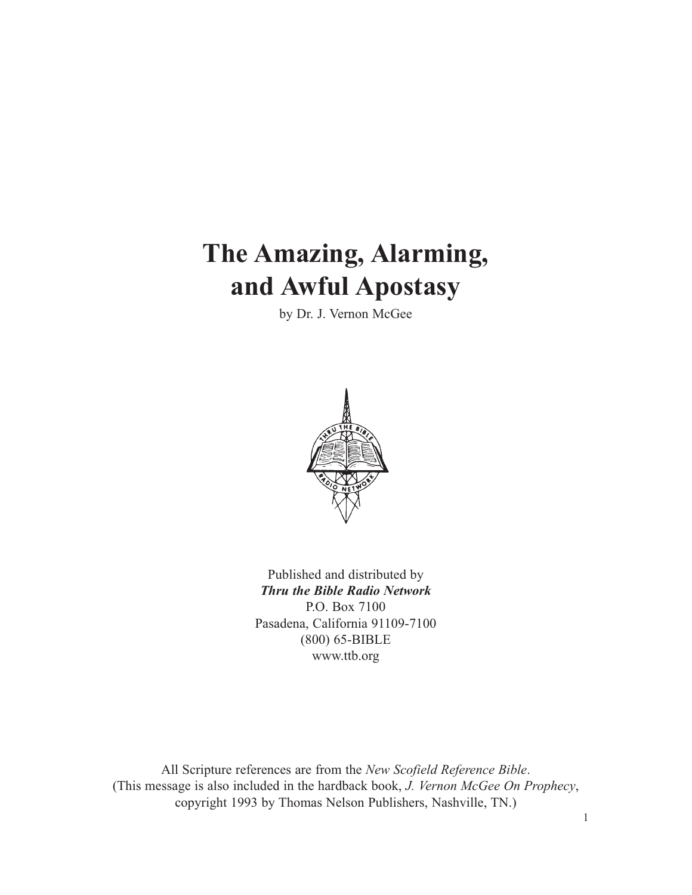# **The Amazing, Alarming, and Awful Apostasy**

by Dr. J. Vernon McGee



Published and distributed by *Thru the Bible Radio Network* P.O. Box 7100 Pasadena, California 91109-7100 (800) 65-BIBLE www.ttb.org

All Scripture references are from the *New Scofield Reference Bible*. (This message is also included in the hardback book, *J. Vernon McGee On Prophecy*, copyright 1993 by Thomas Nelson Publishers, Nashville, TN.)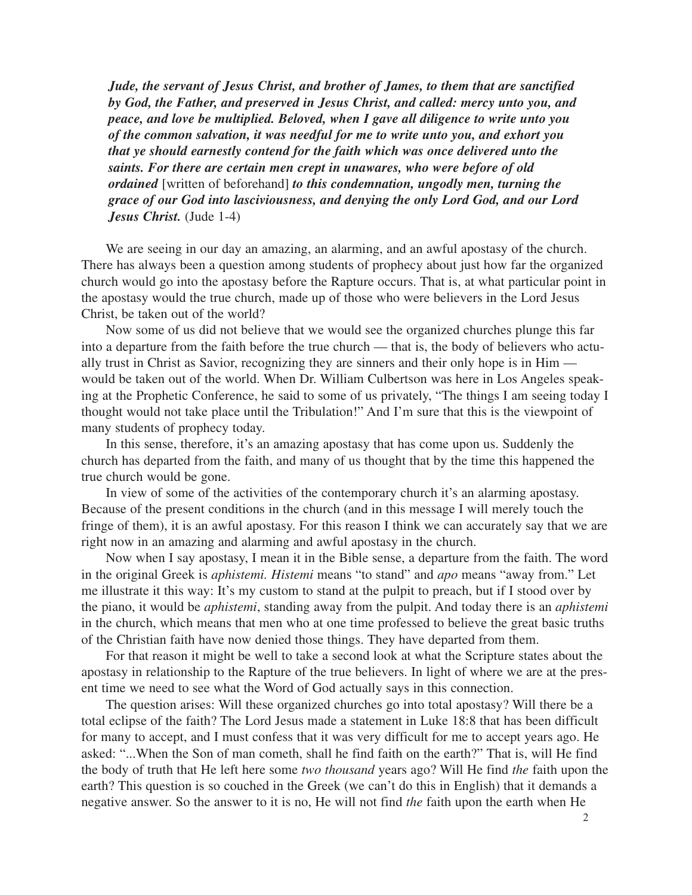*Jude, the servant of Jesus Christ, and brother of James, to them that are sanctified by God, the Father, and preserved in Jesus Christ, and called: mercy unto you, and peace, and love be multiplied. Beloved, when I gave all diligence to write unto you of the common salvation, it was needful for me to write unto you, and exhort you that ye should earnestly contend for the faith which was once delivered unto the saints. For there are certain men crept in unawares, who were before of old ordained* [written of beforehand] *to this condemnation, ungodly men, turning the grace of our God into lasciviousness, and denying the only Lord God, and our Lord Jesus Christ.* (Jude 1-4)

We are seeing in our day an amazing, an alarming, and an awful apostasy of the church. There has always been a question among students of prophecy about just how far the organized church would go into the apostasy before the Rapture occurs. That is, at what particular point in the apostasy would the true church, made up of those who were believers in the Lord Jesus Christ, be taken out of the world?

Now some of us did not believe that we would see the organized churches plunge this far into a departure from the faith before the true church — that is, the body of believers who actually trust in Christ as Savior, recognizing they are sinners and their only hope is in Him would be taken out of the world. When Dr. William Culbertson was here in Los Angeles speaking at the Prophetic Conference, he said to some of us privately, "The things I am seeing today I thought would not take place until the Tribulation!" And I'm sure that this is the viewpoint of many students of prophecy today.

In this sense, therefore, it's an amazing apostasy that has come upon us. Suddenly the church has departed from the faith, and many of us thought that by the time this happened the true church would be gone.

In view of some of the activities of the contemporary church it's an alarming apostasy. Because of the present conditions in the church (and in this message I will merely touch the fringe of them), it is an awful apostasy. For this reason I think we can accurately say that we are right now in an amazing and alarming and awful apostasy in the church.

Now when I say apostasy, I mean it in the Bible sense, a departure from the faith. The word in the original Greek is *aphistemi. Histemi* means "to stand" and *apo* means "away from." Let me illustrate it this way: It's my custom to stand at the pulpit to preach, but if I stood over by the piano, it would be *aphistemi*, standing away from the pulpit. And today there is an *aphistemi* in the church, which means that men who at one time professed to believe the great basic truths of the Christian faith have now denied those things. They have departed from them.

For that reason it might be well to take a second look at what the Scripture states about the apostasy in relationship to the Rapture of the true believers. In light of where we are at the present time we need to see what the Word of God actually says in this connection.

The question arises: Will these organized churches go into total apostasy? Will there be a total eclipse of the faith? The Lord Jesus made a statement in Luke 18:8 that has been difficult for many to accept, and I must confess that it was very difficult for me to accept years ago. He asked: "...When the Son of man cometh, shall he find faith on the earth?" That is, will He find the body of truth that He left here some *two thousand* years ago? Will He find *the* faith upon the earth? This question is so couched in the Greek (we can't do this in English) that it demands a negative answer. So the answer to it is no, He will not find *the* faith upon the earth when He

2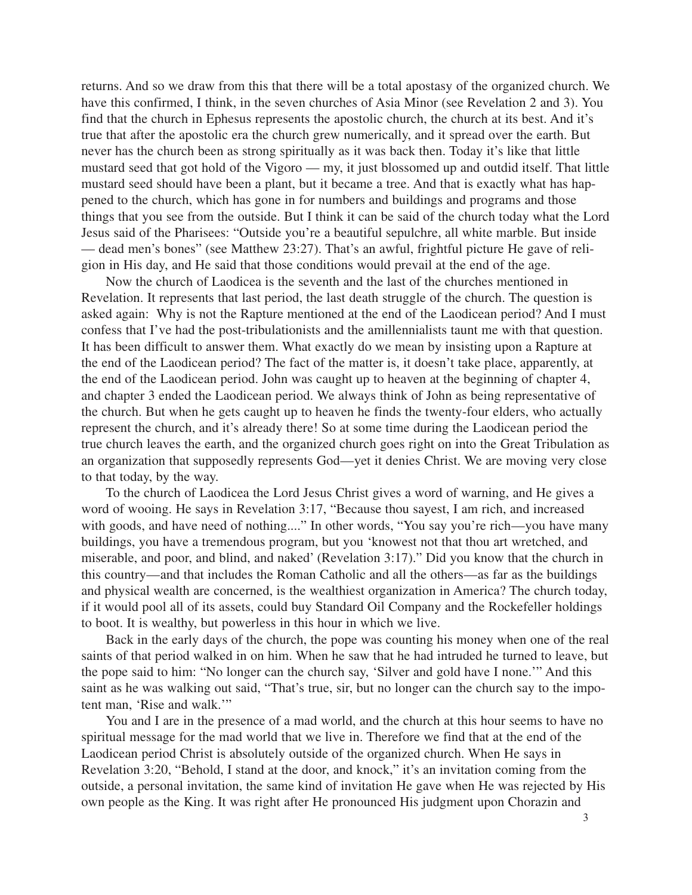returns. And so we draw from this that there will be a total apostasy of the organized church. We have this confirmed, I think, in the seven churches of Asia Minor (see Revelation 2 and 3). You find that the church in Ephesus represents the apostolic church, the church at its best. And it's true that after the apostolic era the church grew numerically, and it spread over the earth. But never has the church been as strong spiritually as it was back then. Today it's like that little mustard seed that got hold of the Vigoro — my, it just blossomed up and outdid itself. That little mustard seed should have been a plant, but it became a tree. And that is exactly what has happened to the church, which has gone in for numbers and buildings and programs and those things that you see from the outside. But I think it can be said of the church today what the Lord Jesus said of the Pharisees: "Outside you're a beautiful sepulchre, all white marble. But inside — dead men's bones" (see Matthew 23:27). That's an awful, frightful picture He gave of religion in His day, and He said that those conditions would prevail at the end of the age.

Now the church of Laodicea is the seventh and the last of the churches mentioned in Revelation. It represents that last period, the last death struggle of the church. The question is asked again: Why is not the Rapture mentioned at the end of the Laodicean period? And I must confess that I've had the post-tribulationists and the amillennialists taunt me with that question. It has been difficult to answer them. What exactly do we mean by insisting upon a Rapture at the end of the Laodicean period? The fact of the matter is, it doesn't take place, apparently, at the end of the Laodicean period. John was caught up to heaven at the beginning of chapter 4, and chapter 3 ended the Laodicean period. We always think of John as being representative of the church. But when he gets caught up to heaven he finds the twenty-four elders, who actually represent the church, and it's already there! So at some time during the Laodicean period the true church leaves the earth, and the organized church goes right on into the Great Tribulation as an organization that supposedly represents God—yet it denies Christ. We are moving very close to that today, by the way.

To the church of Laodicea the Lord Jesus Christ gives a word of warning, and He gives a word of wooing. He says in Revelation 3:17, "Because thou sayest, I am rich, and increased with goods, and have need of nothing...." In other words, "You say you're rich—you have many buildings, you have a tremendous program, but you 'knowest not that thou art wretched, and miserable, and poor, and blind, and naked' (Revelation 3:17)." Did you know that the church in this country—and that includes the Roman Catholic and all the others—as far as the buildings and physical wealth are concerned, is the wealthiest organization in America? The church today, if it would pool all of its assets, could buy Standard Oil Company and the Rockefeller holdings to boot. It is wealthy, but powerless in this hour in which we live.

Back in the early days of the church, the pope was counting his money when one of the real saints of that period walked in on him. When he saw that he had intruded he turned to leave, but the pope said to him: "No longer can the church say, 'Silver and gold have I none.'" And this saint as he was walking out said, "That's true, sir, but no longer can the church say to the impotent man, 'Rise and walk.'"

You and I are in the presence of a mad world, and the church at this hour seems to have no spiritual message for the mad world that we live in. Therefore we find that at the end of the Laodicean period Christ is absolutely outside of the organized church. When He says in Revelation 3:20, "Behold, I stand at the door, and knock," it's an invitation coming from the outside, a personal invitation, the same kind of invitation He gave when He was rejected by His own people as the King. It was right after He pronounced His judgment upon Chorazin and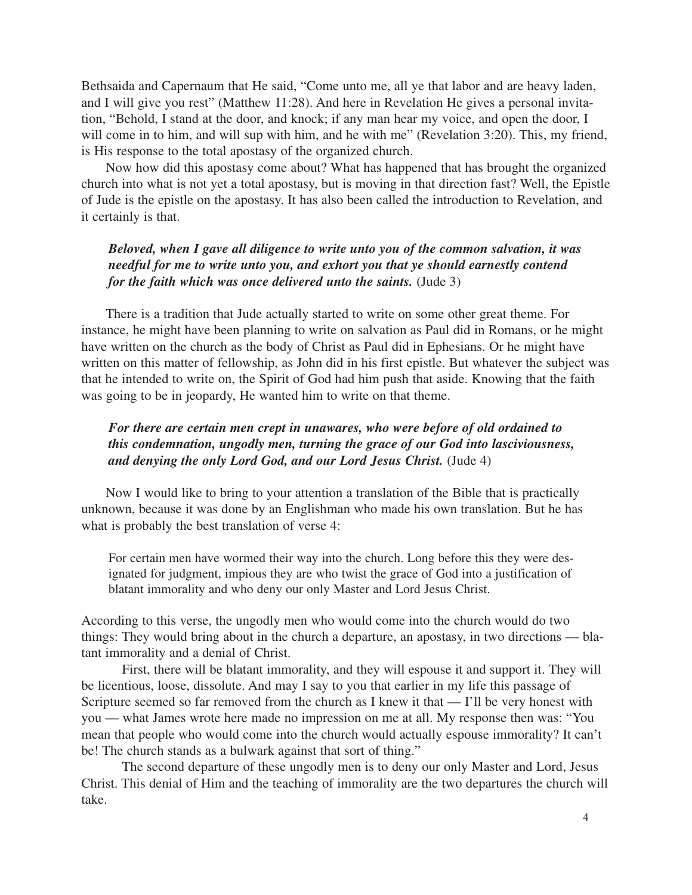Bethsaida and Capernaum that He said, "Come unto me, all ye that labor and are heavy laden, and I will give you rest" (Matthew 11:28). And here in Revelation He gives a personal invitation, "Behold, I stand at the door, and knock; if any man hear my voice, and open the door, I will come in to him, and will sup with him, and he with me" (Revelation 3:20). This, my friend, is His response to the total apostasy of the organized church.

Now how did this apostasy come about? What has happened that has brought the organized church into what is not yet a total apostasy, but is moving in that direction fast? Well, the Epistle of Jude is the epistle on the apostasy. It has also been called the introduction to Revelation, and it certainly is that.

# *Beloved, when I gave all diligence to write unto you of the common salvation, it was needful for me to write unto you, and exhort you that ye should earnestly contend for the faith which was once delivered unto the saints.* (Jude 3)

There is a tradition that Jude actually started to write on some other great theme. For instance, he might have been planning to write on salvation as Paul did in Romans, or he might have written on the church as the body of Christ as Paul did in Ephesians. Or he might have written on this matter of fellowship, as John did in his first epistle. But whatever the subject was that he intended to write on, the Spirit of God had him push that aside. Knowing that the faith was going to be in jeopardy, He wanted him to write on that theme.

# *For there are certain men crept in unawares, who were before of old ordained to this condemnation, ungodly men, turning the grace of our God into lasciviousness, and denying the only Lord God, and our Lord Jesus Christ.* (Jude 4)

Now I would like to bring to your attention a translation of the Bible that is practically unknown, because it was done by an Englishman who made his own translation. But he has what is probably the best translation of verse 4:

For certain men have wormed their way into the church. Long before this they were designated for judgment, impious they are who twist the grace of God into a justification of blatant immorality and who deny our only Master and Lord Jesus Christ.

According to this verse, the ungodly men who would come into the church would do two things: They would bring about in the church a departure, an apostasy, in two directions — blatant immorality and a denial of Christ.

First, there will be blatant immorality, and they will espouse it and support it. They will be licentious, loose, dissolute. And may I say to you that earlier in my life this passage of Scripture seemed so far removed from the church as I knew it that — I'll be very honest with you — what James wrote here made no impression on me at all. My response then was: "You mean that people who would come into the church would actually espouse immorality? It can't be! The church stands as a bulwark against that sort of thing."

The second departure of these ungodly men is to deny our only Master and Lord, Jesus Christ. This denial of Him and the teaching of immorality are the two departures the church will take.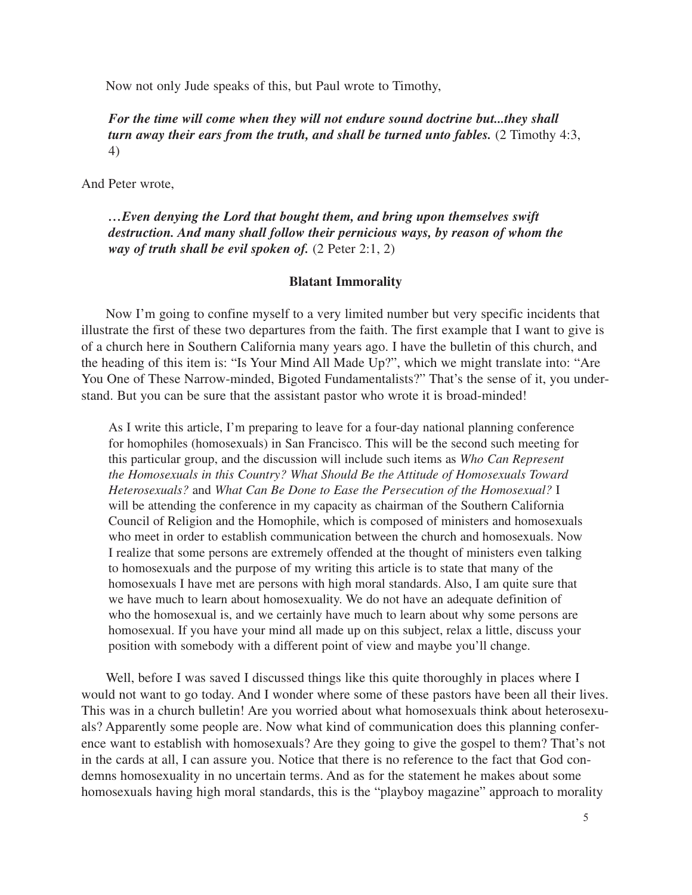Now not only Jude speaks of this, but Paul wrote to Timothy,

*For the time will come when they will not endure sound doctrine but...they shall turn away their ears from the truth, and shall be turned unto fables.* (2 Timothy 4:3, 4)

And Peter wrote,

*…Even denying the Lord that bought them, and bring upon themselves swift destruction. And many shall follow their pernicious ways, by reason of whom the way of truth shall be evil spoken of.* (2 Peter 2:1, 2)

### **Blatant Immorality**

Now I'm going to confine myself to a very limited number but very specific incidents that illustrate the first of these two departures from the faith. The first example that I want to give is of a church here in Southern California many years ago. I have the bulletin of this church, and the heading of this item is: "Is Your Mind All Made Up?", which we might translate into: "Are You One of These Narrow-minded, Bigoted Fundamentalists?" That's the sense of it, you understand. But you can be sure that the assistant pastor who wrote it is broad-minded!

As I write this article, I'm preparing to leave for a four-day national planning conference for homophiles (homosexuals) in San Francisco. This will be the second such meeting for this particular group, and the discussion will include such items as *Who Can Represent the Homosexuals in this Country? What Should Be the Attitude of Homosexuals Toward Heterosexuals?* and *What Can Be Done to Ease the Persecution of the Homosexual?* I will be attending the conference in my capacity as chairman of the Southern California Council of Religion and the Homophile, which is composed of ministers and homosexuals who meet in order to establish communication between the church and homosexuals. Now I realize that some persons are extremely offended at the thought of ministers even talking to homosexuals and the purpose of my writing this article is to state that many of the homosexuals I have met are persons with high moral standards. Also, I am quite sure that we have much to learn about homosexuality. We do not have an adequate definition of who the homosexual is, and we certainly have much to learn about why some persons are homosexual. If you have your mind all made up on this subject, relax a little, discuss your position with somebody with a different point of view and maybe you'll change.

Well, before I was saved I discussed things like this quite thoroughly in places where I would not want to go today. And I wonder where some of these pastors have been all their lives. This was in a church bulletin! Are you worried about what homosexuals think about heterosexuals? Apparently some people are. Now what kind of communication does this planning conference want to establish with homosexuals? Are they going to give the gospel to them? That's not in the cards at all, I can assure you. Notice that there is no reference to the fact that God condemns homosexuality in no uncertain terms. And as for the statement he makes about some homosexuals having high moral standards, this is the "playboy magazine" approach to morality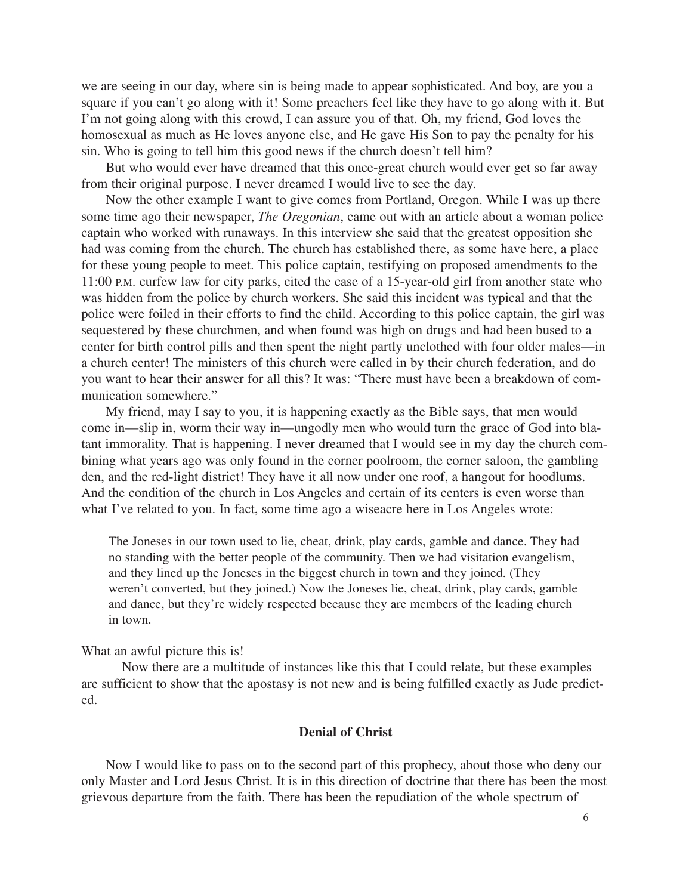we are seeing in our day, where sin is being made to appear sophisticated. And boy, are you a square if you can't go along with it! Some preachers feel like they have to go along with it. But I'm not going along with this crowd, I can assure you of that. Oh, my friend, God loves the homosexual as much as He loves anyone else, and He gave His Son to pay the penalty for his sin. Who is going to tell him this good news if the church doesn't tell him?

But who would ever have dreamed that this once-great church would ever get so far away from their original purpose. I never dreamed I would live to see the day.

Now the other example I want to give comes from Portland, Oregon. While I was up there some time ago their newspaper, *The Oregonian*, came out with an article about a woman police captain who worked with runaways. In this interview she said that the greatest opposition she had was coming from the church. The church has established there, as some have here, a place for these young people to meet. This police captain, testifying on proposed amendments to the 11:00 P.M. curfew law for city parks, cited the case of a 15-year-old girl from another state who was hidden from the police by church workers. She said this incident was typical and that the police were foiled in their efforts to find the child. According to this police captain, the girl was sequestered by these churchmen, and when found was high on drugs and had been bused to a center for birth control pills and then spent the night partly unclothed with four older males—in a church center! The ministers of this church were called in by their church federation, and do you want to hear their answer for all this? It was: "There must have been a breakdown of communication somewhere."

My friend, may I say to you, it is happening exactly as the Bible says, that men would come in—slip in, worm their way in—ungodly men who would turn the grace of God into blatant immorality. That is happening. I never dreamed that I would see in my day the church combining what years ago was only found in the corner poolroom, the corner saloon, the gambling den, and the red-light district! They have it all now under one roof, a hangout for hoodlums. And the condition of the church in Los Angeles and certain of its centers is even worse than what I've related to you. In fact, some time ago a wiseacre here in Los Angeles wrote:

The Joneses in our town used to lie, cheat, drink, play cards, gamble and dance. They had no standing with the better people of the community. Then we had visitation evangelism, and they lined up the Joneses in the biggest church in town and they joined. (They weren't converted, but they joined.) Now the Joneses lie, cheat, drink, play cards, gamble and dance, but they're widely respected because they are members of the leading church in town.

What an awful picture this is!

Now there are a multitude of instances like this that I could relate, but these examples are sufficient to show that the apostasy is not new and is being fulfilled exactly as Jude predicted.

#### **Denial of Christ**

Now I would like to pass on to the second part of this prophecy, about those who deny our only Master and Lord Jesus Christ. It is in this direction of doctrine that there has been the most grievous departure from the faith. There has been the repudiation of the whole spectrum of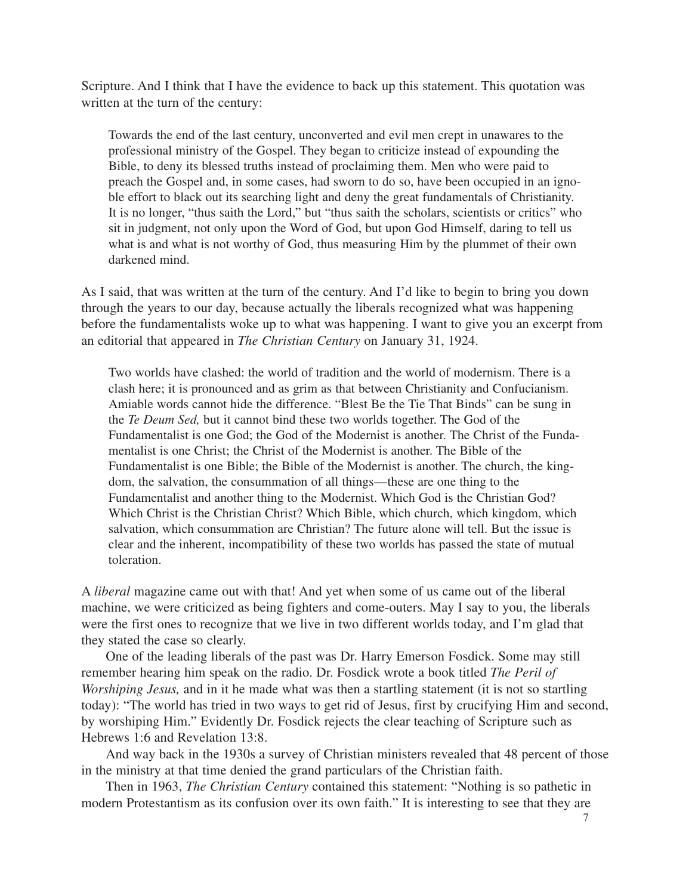Scripture. And I think that I have the evidence to back up this statement. This quotation was written at the turn of the century:

Towards the end of the last century, unconverted and evil men crept in unawares to the professional ministry of the Gospel. They began to criticize instead of expounding the Bible, to deny its blessed truths instead of proclaiming them. Men who were paid to preach the Gospel and, in some cases, had sworn to do so, have been occupied in an ignoble effort to black out its searching light and deny the great fundamentals of Christianity. It is no longer, "thus saith the Lord," but "thus saith the scholars, scientists or critics" who sit in judgment, not only upon the Word of God, but upon God Himself, daring to tell us what is and what is not worthy of God, thus measuring Him by the plummet of their own darkened mind.

As I said, that was written at the turn of the century. And I'd like to begin to bring you down through the years to our day, because actually the liberals recognized what was happening before the fundamentalists woke up to what was happening. I want to give you an excerpt from an editorial that appeared in *The Christian Century* on January 31, 1924.

Two worlds have clashed: the world of tradition and the world of modernism. There is a clash here; it is pronounced and as grim as that between Christianity and Confucianism. Amiable words cannot hide the difference. "Blest Be the Tie That Binds" can be sung in the *Te Deum Sed,* but it cannot bind these two worlds together. The God of the Fundamentalist is one God; the God of the Modernist is another. The Christ of the Fundamentalist is one Christ; the Christ of the Modernist is another. The Bible of the Fundamentalist is one Bible; the Bible of the Modernist is another. The church, the kingdom, the salvation, the consummation of all things—these are one thing to the Fundamentalist and another thing to the Modernist. Which God is the Christian God? Which Christ is the Christian Christ? Which Bible, which church, which kingdom, which salvation, which consummation are Christian? The future alone will tell. But the issue is clear and the inherent, incompatibility of these two worlds has passed the state of mutual toleration.

A *liberal* magazine came out with that! And yet when some of us came out of the liberal machine, we were criticized as being fighters and come-outers. May I say to you, the liberals were the first ones to recognize that we live in two different worlds today, and I'm glad that they stated the case so clearly.

One of the leading liberals of the past was Dr. Harry Emerson Fosdick. Some may still remember hearing him speak on the radio. Dr. Fosdick wrote a book titled *The Peril of Worshiping Jesus,* and in it he made what was then a startling statement (it is not so startling today): "The world has tried in two ways to get rid of Jesus, first by crucifying Him and second, by worshiping Him." Evidently Dr. Fosdick rejects the clear teaching of Scripture such as Hebrews 1:6 and Revelation 13:8.

And way back in the 1930s a survey of Christian ministers revealed that 48 percent of those in the ministry at that time denied the grand particulars of the Christian faith.

Then in 1963, *The Christian Century* contained this statement: "Nothing is so pathetic in modern Protestantism as its confusion over its own faith." It is interesting to see that they are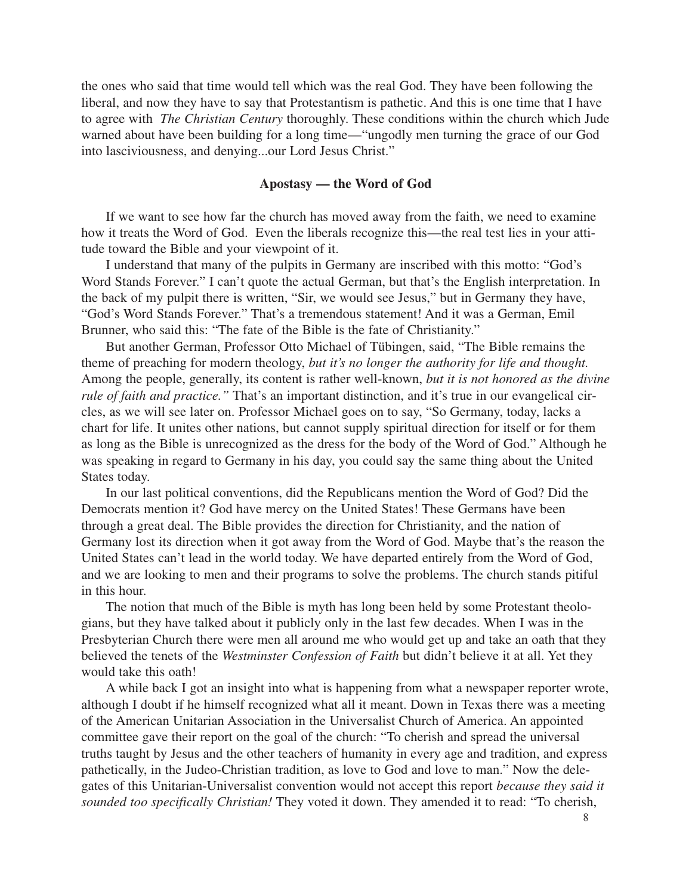the ones who said that time would tell which was the real God. They have been following the liberal, and now they have to say that Protestantism is pathetic. And this is one time that I have to agree with *The Christian Century* thoroughly. These conditions within the church which Jude warned about have been building for a long time—"ungodly men turning the grace of our God into lasciviousness, and denying...our Lord Jesus Christ."

## **Apostasy — the Word of God**

If we want to see how far the church has moved away from the faith, we need to examine how it treats the Word of God. Even the liberals recognize this—the real test lies in your attitude toward the Bible and your viewpoint of it.

I understand that many of the pulpits in Germany are inscribed with this motto: "God's Word Stands Forever." I can't quote the actual German, but that's the English interpretation. In the back of my pulpit there is written, "Sir, we would see Jesus," but in Germany they have, "God's Word Stands Forever." That's a tremendous statement! And it was a German, Emil Brunner, who said this: "The fate of the Bible is the fate of Christianity."

But another German, Professor Otto Michael of Tübingen, said, "The Bible remains the theme of preaching for modern theology, *but it's no longer the authority for life and thought.* Among the people, generally, its content is rather well-known, *but it is not honored as the divine rule of faith and practice."* That's an important distinction, and it's true in our evangelical circles, as we will see later on. Professor Michael goes on to say, "So Germany, today, lacks a chart for life. It unites other nations, but cannot supply spiritual direction for itself or for them as long as the Bible is unrecognized as the dress for the body of the Word of God." Although he was speaking in regard to Germany in his day, you could say the same thing about the United States today.

In our last political conventions, did the Republicans mention the Word of God? Did the Democrats mention it? God have mercy on the United States! These Germans have been through a great deal. The Bible provides the direction for Christianity, and the nation of Germany lost its direction when it got away from the Word of God. Maybe that's the reason the United States can't lead in the world today. We have departed entirely from the Word of God, and we are looking to men and their programs to solve the problems. The church stands pitiful in this hour.

The notion that much of the Bible is myth has long been held by some Protestant theologians, but they have talked about it publicly only in the last few decades. When I was in the Presbyterian Church there were men all around me who would get up and take an oath that they believed the tenets of the *Westminster Confession of Faith* but didn't believe it at all. Yet they would take this oath!

A while back I got an insight into what is happening from what a newspaper reporter wrote, although I doubt if he himself recognized what all it meant. Down in Texas there was a meeting of the American Unitarian Association in the Universalist Church of America. An appointed committee gave their report on the goal of the church: "To cherish and spread the universal truths taught by Jesus and the other teachers of humanity in every age and tradition, and express pathetically, in the Judeo-Christian tradition, as love to God and love to man." Now the delegates of this Unitarian-Universalist convention would not accept this report *because they said it sounded too specifically Christian!* They voted it down. They amended it to read: "To cherish,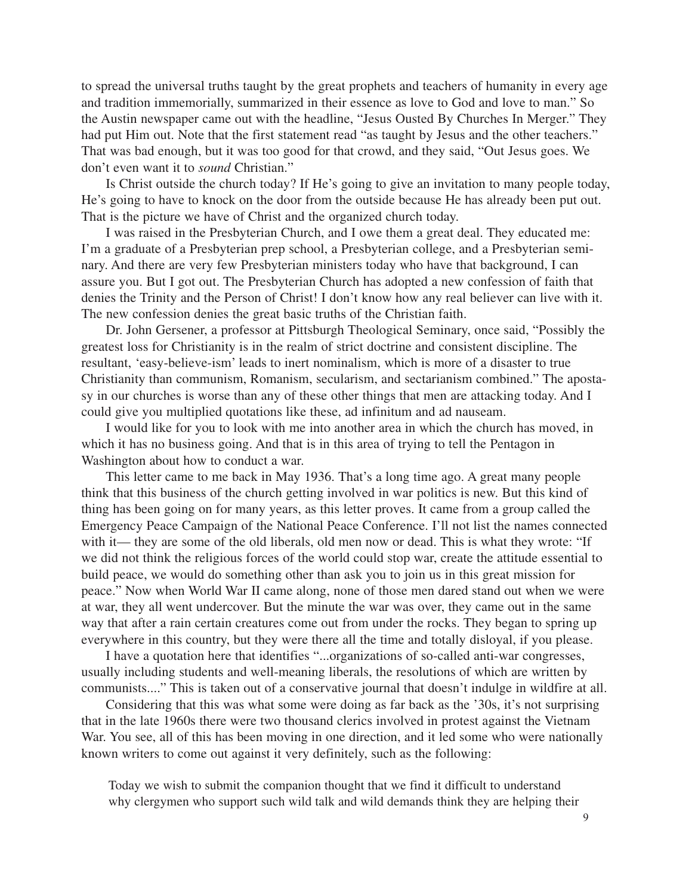to spread the universal truths taught by the great prophets and teachers of humanity in every age and tradition immemorially, summarized in their essence as love to God and love to man." So the Austin newspaper came out with the headline, "Jesus Ousted By Churches In Merger." They had put Him out. Note that the first statement read "as taught by Jesus and the other teachers." That was bad enough, but it was too good for that crowd, and they said, "Out Jesus goes. We don't even want it to *sound* Christian."

Is Christ outside the church today? If He's going to give an invitation to many people today, He's going to have to knock on the door from the outside because He has already been put out. That is the picture we have of Christ and the organized church today.

I was raised in the Presbyterian Church, and I owe them a great deal. They educated me: I'm a graduate of a Presbyterian prep school, a Presbyterian college, and a Presbyterian seminary. And there are very few Presbyterian ministers today who have that background, I can assure you. But I got out. The Presbyterian Church has adopted a new confession of faith that denies the Trinity and the Person of Christ! I don't know how any real believer can live with it. The new confession denies the great basic truths of the Christian faith.

Dr. John Gersener, a professor at Pittsburgh Theological Seminary, once said, "Possibly the greatest loss for Christianity is in the realm of strict doctrine and consistent discipline. The resultant, 'easy-believe-ism' leads to inert nominalism, which is more of a disaster to true Christianity than communism, Romanism, secularism, and sectarianism combined." The apostasy in our churches is worse than any of these other things that men are attacking today. And I could give you multiplied quotations like these, ad infinitum and ad nauseam.

I would like for you to look with me into another area in which the church has moved, in which it has no business going. And that is in this area of trying to tell the Pentagon in Washington about how to conduct a war.

This letter came to me back in May 1936. That's a long time ago. A great many people think that this business of the church getting involved in war politics is new. But this kind of thing has been going on for many years, as this letter proves. It came from a group called the Emergency Peace Campaign of the National Peace Conference. I'll not list the names connected with it— they are some of the old liberals, old men now or dead. This is what they wrote: "If we did not think the religious forces of the world could stop war, create the attitude essential to build peace, we would do something other than ask you to join us in this great mission for peace." Now when World War II came along, none of those men dared stand out when we were at war, they all went undercover. But the minute the war was over, they came out in the same way that after a rain certain creatures come out from under the rocks. They began to spring up everywhere in this country, but they were there all the time and totally disloyal, if you please.

I have a quotation here that identifies "...organizations of so-called anti-war congresses, usually including students and well-meaning liberals, the resolutions of which are written by communists...." This is taken out of a conservative journal that doesn't indulge in wildfire at all.

Considering that this was what some were doing as far back as the '30s, it's not surprising that in the late 1960s there were two thousand clerics involved in protest against the Vietnam War. You see, all of this has been moving in one direction, and it led some who were nationally known writers to come out against it very definitely, such as the following:

Today we wish to submit the companion thought that we find it difficult to understand why clergymen who support such wild talk and wild demands think they are helping their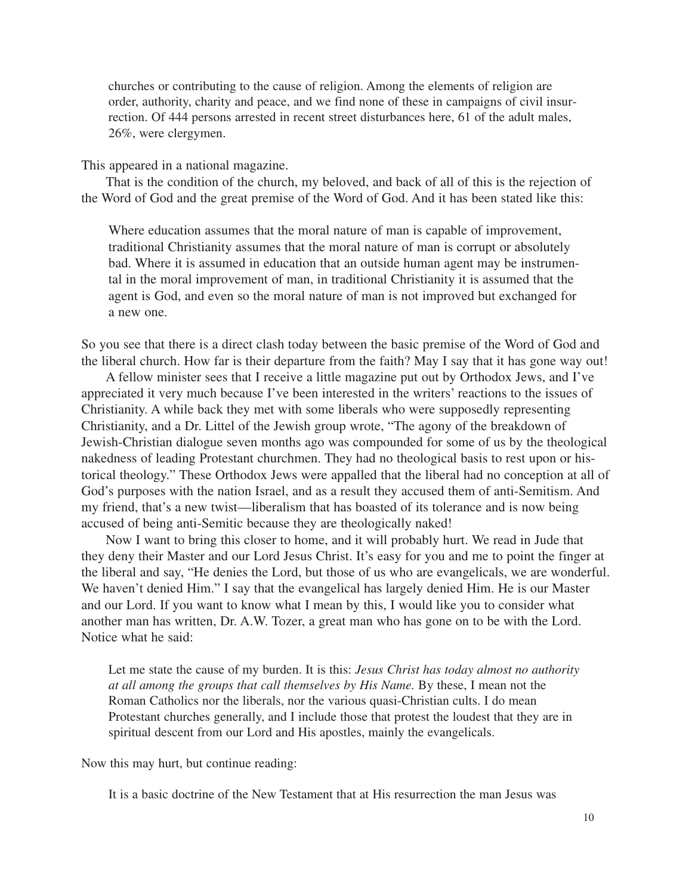churches or contributing to the cause of religion. Among the elements of religion are order, authority, charity and peace, and we find none of these in campaigns of civil insurrection. Of 444 persons arrested in recent street disturbances here, 61 of the adult males, 26%, were clergymen.

This appeared in a national magazine.

That is the condition of the church, my beloved, and back of all of this is the rejection of the Word of God and the great premise of the Word of God. And it has been stated like this:

Where education assumes that the moral nature of man is capable of improvement, traditional Christianity assumes that the moral nature of man is corrupt or absolutely bad. Where it is assumed in education that an outside human agent may be instrumental in the moral improvement of man, in traditional Christianity it is assumed that the agent is God, and even so the moral nature of man is not improved but exchanged for a new one.

So you see that there is a direct clash today between the basic premise of the Word of God and the liberal church. How far is their departure from the faith? May I say that it has gone way out!

A fellow minister sees that I receive a little magazine put out by Orthodox Jews, and I've appreciated it very much because I've been interested in the writers' reactions to the issues of Christianity. A while back they met with some liberals who were supposedly representing Christianity, and a Dr. Littel of the Jewish group wrote, "The agony of the breakdown of Jewish-Christian dialogue seven months ago was compounded for some of us by the theological nakedness of leading Protestant churchmen. They had no theological basis to rest upon or historical theology." These Orthodox Jews were appalled that the liberal had no conception at all of God's purposes with the nation Israel, and as a result they accused them of anti-Semitism. And my friend, that's a new twist—liberalism that has boasted of its tolerance and is now being accused of being anti-Semitic because they are theologically naked!

Now I want to bring this closer to home, and it will probably hurt. We read in Jude that they deny their Master and our Lord Jesus Christ. It's easy for you and me to point the finger at the liberal and say, "He denies the Lord, but those of us who are evangelicals, we are wonderful. We haven't denied Him." I say that the evangelical has largely denied Him. He is our Master and our Lord. If you want to know what I mean by this, I would like you to consider what another man has written, Dr. A.W. Tozer, a great man who has gone on to be with the Lord. Notice what he said:

Let me state the cause of my burden. It is this: *Jesus Christ has today almost no authority at all among the groups that call themselves by His Name.* By these, I mean not the Roman Catholics nor the liberals, nor the various quasi-Christian cults. I do mean Protestant churches generally, and I include those that protest the loudest that they are in spiritual descent from our Lord and His apostles, mainly the evangelicals.

Now this may hurt, but continue reading:

It is a basic doctrine of the New Testament that at His resurrection the man Jesus was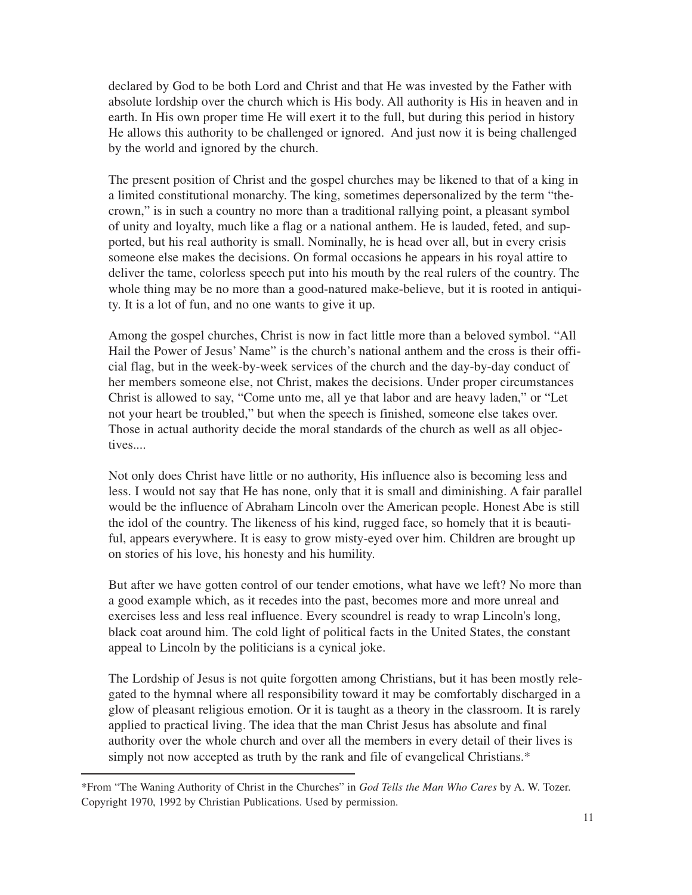declared by God to be both Lord and Christ and that He was invested by the Father with absolute lordship over the church which is His body. All authority is His in heaven and in earth. In His own proper time He will exert it to the full, but during this period in history He allows this authority to be challenged or ignored. And just now it is being challenged by the world and ignored by the church.

The present position of Christ and the gospel churches may be likened to that of a king in a limited constitutional monarchy. The king, sometimes depersonalized by the term "thecrown," is in such a country no more than a traditional rallying point, a pleasant symbol of unity and loyalty, much like a flag or a national anthem. He is lauded, feted, and supported, but his real authority is small. Nominally, he is head over all, but in every crisis someone else makes the decisions. On formal occasions he appears in his royal attire to deliver the tame, colorless speech put into his mouth by the real rulers of the country. The whole thing may be no more than a good-natured make-believe, but it is rooted in antiquity. It is a lot of fun, and no one wants to give it up.

Among the gospel churches, Christ is now in fact little more than a beloved symbol. "All Hail the Power of Jesus' Name" is the church's national anthem and the cross is their official flag, but in the week-by-week services of the church and the day-by-day conduct of her members someone else, not Christ, makes the decisions. Under proper circumstances Christ is allowed to say, "Come unto me, all ye that labor and are heavy laden," or "Let not your heart be troubled," but when the speech is finished, someone else takes over. Those in actual authority decide the moral standards of the church as well as all objectives....

Not only does Christ have little or no authority, His influence also is becoming less and less. I would not say that He has none, only that it is small and diminishing. A fair parallel would be the influence of Abraham Lincoln over the American people. Honest Abe is still the idol of the country. The likeness of his kind, rugged face, so homely that it is beautiful, appears everywhere. It is easy to grow misty-eyed over him. Children are brought up on stories of his love, his honesty and his humility.

But after we have gotten control of our tender emotions, what have we left? No more than a good example which, as it recedes into the past, becomes more and more unreal and exercises less and less real influence. Every scoundrel is ready to wrap Lincoln's long, black coat around him. The cold light of political facts in the United States, the constant appeal to Lincoln by the politicians is a cynical joke.

The Lordship of Jesus is not quite forgotten among Christians, but it has been mostly relegated to the hymnal where all responsibility toward it may be comfortably discharged in a glow of pleasant religious emotion. Or it is taught as a theory in the classroom. It is rarely applied to practical living. The idea that the man Christ Jesus has absolute and final authority over the whole church and over all the members in every detail of their lives is simply not now accepted as truth by the rank and file of evangelical Christians.\*

<sup>\*</sup>From "The Waning Authority of Christ in the Churches" in *God Tells the Man Who Cares* by A. W. Tozer. Copyright 1970, 1992 by Christian Publications. Used by permission.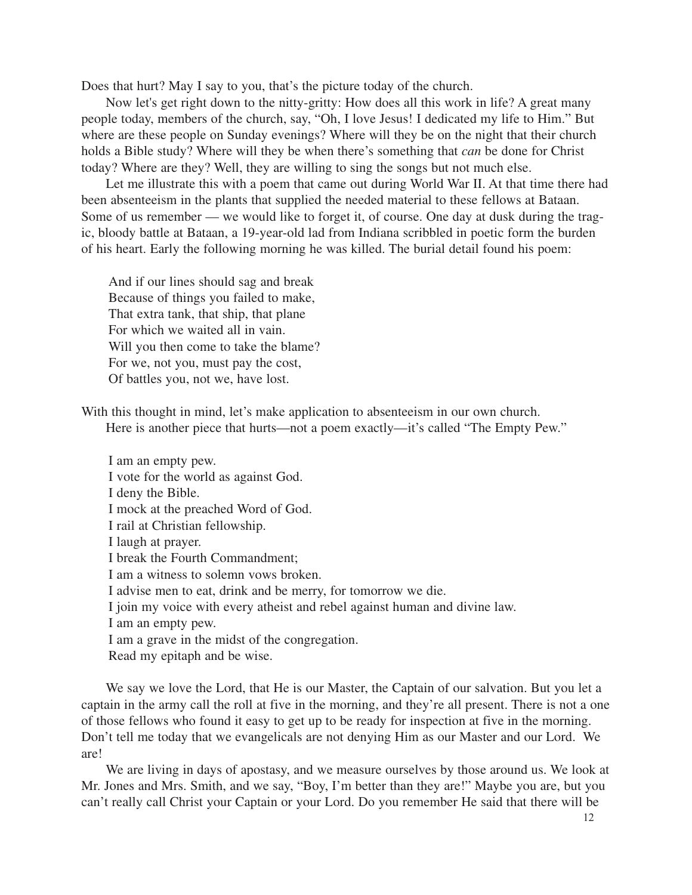Does that hurt? May I say to you, that's the picture today of the church.

Now let's get right down to the nitty-gritty: How does all this work in life? A great many people today, members of the church, say, "Oh, I love Jesus! I dedicated my life to Him." But where are these people on Sunday evenings? Where will they be on the night that their church holds a Bible study? Where will they be when there's something that *can* be done for Christ today? Where are they? Well, they are willing to sing the songs but not much else.

Let me illustrate this with a poem that came out during World War II. At that time there had been absenteeism in the plants that supplied the needed material to these fellows at Bataan. Some of us remember — we would like to forget it, of course. One day at dusk during the tragic, bloody battle at Bataan, a 19-year-old lad from Indiana scribbled in poetic form the burden of his heart. Early the following morning he was killed. The burial detail found his poem:

And if our lines should sag and break Because of things you failed to make, That extra tank, that ship, that plane For which we waited all in vain. Will you then come to take the blame? For we, not you, must pay the cost, Of battles you, not we, have lost.

With this thought in mind, let's make application to absenteeism in our own church. Here is another piece that hurts—not a poem exactly—it's called "The Empty Pew."

I am an empty pew. I vote for the world as against God. I deny the Bible. I mock at the preached Word of God. I rail at Christian fellowship. I laugh at prayer. I break the Fourth Commandment; I am a witness to solemn vows broken. I advise men to eat, drink and be merry, for tomorrow we die. I join my voice with every atheist and rebel against human and divine law. I am an empty pew. I am a grave in the midst of the congregation. Read my epitaph and be wise.

We say we love the Lord, that He is our Master, the Captain of our salvation. But you let a captain in the army call the roll at five in the morning, and they're all present. There is not a one of those fellows who found it easy to get up to be ready for inspection at five in the morning. Don't tell me today that we evangelicals are not denying Him as our Master and our Lord. We are!

We are living in days of apostasy, and we measure ourselves by those around us. We look at Mr. Jones and Mrs. Smith, and we say, "Boy, I'm better than they are!" Maybe you are, but you can't really call Christ your Captain or your Lord. Do you remember He said that there will be